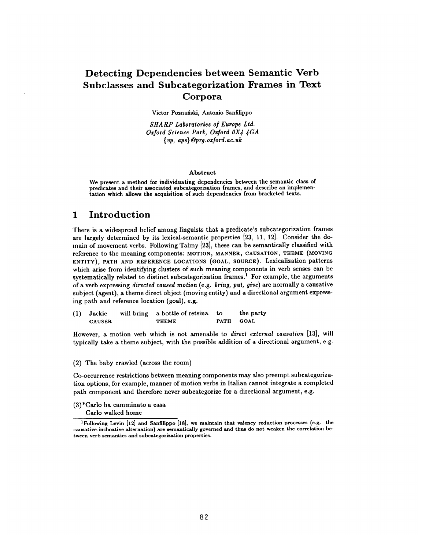## **Detecting Dependencies between Semantic Verb Subclasses and Subcategorization Frames in Text Corpora**

Victor Poznański, Antonio Sanfilippo

*SHARP Laboratories of Europe Ltd. Oxford Science Park, Oxford OX 4 4GA { vp, aps} @prg.oxford.ac.uk* 

#### Abstract

We present a method for individuating dependencies between the semantic class of predicates and their associated subcategorization frames, and describe an implementation which allows the acquisition of such dependencies from bracketed texts.

## **1 Introduction**

There is a widespread belief among linguists that a predicate's subcategorization frames are largely determined by its lexical-semantic properties [23, 11, 12]. Consider the domain of movement verbs. Following Talmy [23], these can he semantically classified with reference to the meaning components: MOTION, MANNER, CAUSATION, THEME (MOVING ENTITY), PATH AND REFERENCE LOCATIONS (GOAL, SOURCE). Lexicalization patterns which arise from identifying clusters of such meaning components in verb senses can be systematically related to distinct subcategorization frames.<sup>1</sup> For example, the arguments of a verb expressing *directed caused motion* (e.g. *bring, put, give)* are normally a causative subject (agent), a theme direct object (moving entity) and a directional argument expressing path and reference location (goal), e.g.

| (1) Jackie    | will bring a bottle of retsina to | the party |
|---------------|-----------------------------------|-----------|
| <b>CAUSER</b> | <b>THEME</b>                      | PATH GOAL |

However, a motion verb which is not amenable to *direct external causation* [13], will typically take a theme subject, with the possible addition of a directional argument, e.g.

(2) The baby crawled (across the room)

Co-occurrence restrictions between meaning components may also preempt subcategorization options; for example, manner of motion verbs in Italian cannot integrate a completed path component and therefore never subcategorize for a directional argument, e.g.

(3)\*Carlo ha camminato a casa

Carlo walked home

<sup>1</sup>Following Levin [12] and Sanfilippo [18], we maintain that valency reduction processes (e.g. the causative-inchoative alternation) are semantically governed and thus do not weaken the correlation between verb semantics and subcategorization properties.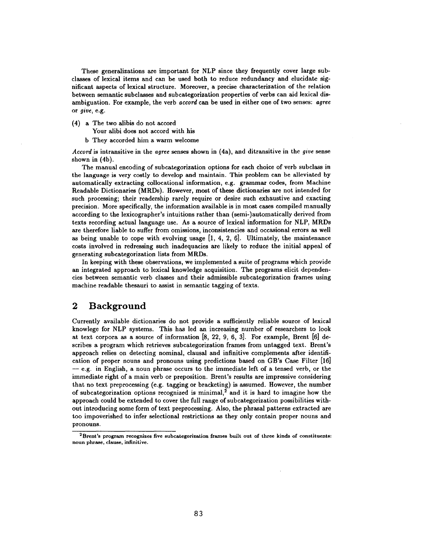These generalizations are important for NLP since they frequently cover large subclasses of lexical items and can be used both to reduce redundancy and elucidate significant aspects of lexical structure. Moreover, a precise characterization of the relation between semantic subclasses and subcategorization properties of verbs can aid lexical disambiguation. For example, the verb *accord* can be used in either one of two senses: *agree*  or *give,* e,g.

(4) a The two alibis do not accord

Your alibi does not accord with his

b They accorded him a warm welcome

*Accord* is intransitive in the *agree* senses shown in (4a), and ditransitive in the *give* sense shown in (4b).

The manual encoding of subcategorization options for each choice of verb subclass in the language is very costly to develop and maintain. This problem can be alleviated by automatically extracting collocational information, e.g. grammar codes, from Machine Readable Dictionaries (MRDs). However, most of these dictionaries are not intended for such processing; their readership rarely require or desire such exhaustive and exacting precision. More specifically, the information available is in most cases compiled manually according to the lexicographer's intuitions rather than (semi-)automatically derived from texts recording actual language use. As a source of lexical information for NLP, MRDs are therefore liable to suffer from omissions, inconsistencies and occasional errors as well as being unable to cope with evolving usage  $[1, 4, 2, 6]$ . Ultimately, the maintenance costs involved in redressing such inadequacies are likely to reduce the initial appeal of generating subcategorization lists from MRDs.

In keeping with these observations, we implemented a suite of programs which provide an integrated approach to lexical knowledge acquisition. The programs elicit dependencies between semantic verb classes and their admissible subcategorization frames using machine readable thesauri to assist in semantic tagging of texts.

## **2 Background**

Currently available dictionaries do not provide a sufficiently reliable source of lexical knowlege for NLP systems. This has led an increasing number of researchers to look at text corpora as a source of information [8, 22, 9, 6, 3]. For example, Brent [6] describes a program which retrieves subcategorization frames from untagged text. Brent's approach relies on detecting nominal, clausal and infinitive complements after identification of proper nouns and pronouns using predictions based on GB's Case Filter [16]  $-e.g.$  in English, a noun phrase occurs to the immediate left of a tensed verb, or the immediate right of a main verb or preposition. Brent's results are impressive considering that no text preprocessing (e.g. tagging or bracketing) is assumed. However, the number of subcategorization options recognized is minimal,<sup>2</sup> and it is hard to imagine how the approach could be extended to cover the full range of subcategorization possibilities without introducing some form of text preprocessing. Also, the phrasal patterns extracted are too impoverished to infer selectional restrictions as they only contain proper nouns and pronouns.

<sup>2</sup>Brent's program recognizes five suhcategorization frames built **out of three** kinds of constituents: noun phrase, clause, infinitive.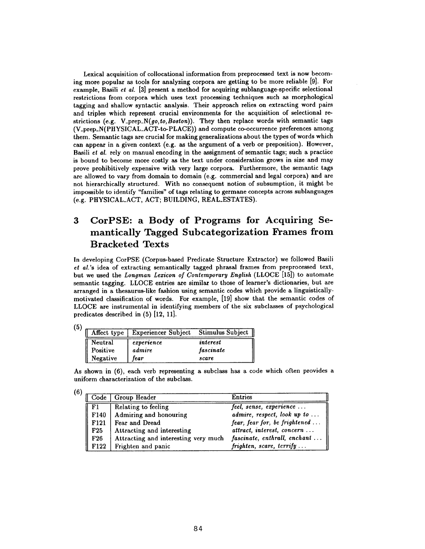Lexical acquisition of collocational information from preprocessed text is now becoming more popular as tools for analyzing corpora are getting to be more reliable [9]. For example, Basili *et al.* [3] present a method for acquiring sublanguage-specific selectional restrictions from corpora which uses text processing techniques such as morphological tagging and shallow syntactic analysis. Their approach relies on extracting word pairs and triples which represent crucial environments for the acquisition of selectional restrictions (e.g. *V\_prep\_N(go, to, Boston)).* They then replace words with semantic tags (V\_prep\_N(PHYSICAL\_ACT-to-PLACE)) and compute co-occurrence preferences among them. Semantic tags are crucial for making generalizations about the types of words which can appear in a given context (e.g. as the argument of a verb or preposition). However, Basili et *al.* rely on manual encoding in the assignment of semantic tags; such a practice is bound to become more costly as the text under consideration grows in size and may prove prohibitively expensive with very large corpora. Furthermore, the semantic tags are allowed to vary from domain to domain (e.g. commercial and legal corpora) and are not hierarchically structured. With no consequent notion of subsumption, it might be impossible to identify "families" of tags relating to germane concepts across sublanguages (e.g. PHYSICAL\_ACT, ACT; BUILDING, REAL\_ESTATES).

# **3 CorPSE: a Body of Programs for Acquiring Semantically Tagged Subcategorization Frames from Bracketed Texts**

In developing CorPSE (Corpus-based Predicate Structure Extractor) we followed Basili *et al.'s* idea of extracting semantically tagged phrasal frames from preprocessed text, but we used the *Longman Lexicon of Contemporary English* (LLOCE [15]) to automate semantic tagging. LLOCE entries are similar to those of learner's dictionaries, but are arranged in a thesaurus-like fashion using semantic codes which provide a linguisticallymotivated classification of words. For example, [19] show that the semantic codes of LLOCE are instrumental in identifying members of the six subclasses of psychological predicates described in (5) [12, 11].

|          | Affect type   Experiencer Subject | Stimulus Subject |  |
|----------|-----------------------------------|------------------|--|
| Neutral  | experience                        | interest         |  |
| Positive | admire                            | fascinate        |  |
| Negative | fear                              | scare            |  |

As shown in (6), each verb representing a subclass has a code which often provides a uniform characterization of the subclass.

|                  | Code   Group Header                  | <b>Entries</b>                                                     |
|------------------|--------------------------------------|--------------------------------------------------------------------|
| - F1             | Relating to feeling                  | feel, sense, experience                                            |
| F140             | Admiring and honouring               | admire, respect, look up to                                        |
| F <sub>121</sub> | Fear and Dread                       | fear, fear for, be frightened                                      |
| F <sub>25</sub>  | Attracting and interesting           | attract, interest, concern                                         |
| F26              | Attracting and interesting very much | fascinate, enthrall, enchant                                       |
| F <sub>122</sub> | Frighten and panic                   | $frighten, \, \, \textit{score}, \, \, \textit{terrify} \, \ldots$ |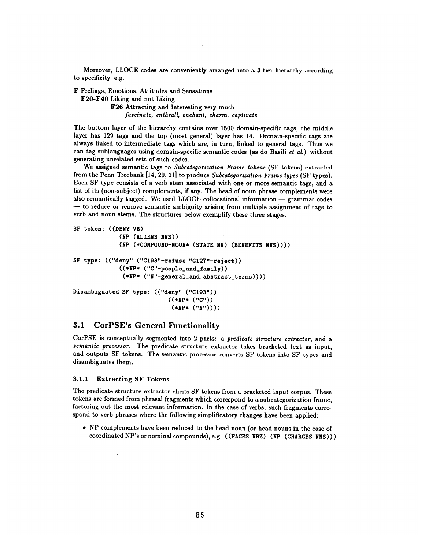Moreover, LLOCE codes are conveniently arranged into a 3-tier hierarchy according to specificity, e.g.

F Feelings, Emotions, Attitudes and Sensations

F20-F40 Liking and not Liking

F26 Attracting and Interesting very much *fascinate, enthrall, enchant, charm, captivate* 

The bottom layer of the hierarchy contains over 1500 domain-specific tags, the middle layer has 129 tags and the top (most general) layer has 14. Domain-specific tags are always linked to intermediate tags which are, in turn, linked to general tags. Thus we can tag sublanguages using domain-specific semantic codes (as do Basili *et ai.)* without generating unrelated sets of such codes.

We assigned semantic tags to *Subcategorization Frame tokens* (SF tokens) extracted from the Penn Treebank [14, 20, 21] to produce *Subcategorization Frame types* (SF types). Each SF type consists of a verb stem associated with one or more semantic tags, and a list of its (non-subject) complements, if any. The head of noun phrase complements were also semantically tagged. We used LLOCE collocational information  $-$  grammar codes  $-$  to reduce or remove semantic ambiguity arising from multiple assignment of tags to verb and noun stems. The structures below exemplify these three stages.

```
SF token: ((DENY VB) 
             (NP (ALIENS NNS)) 
             (NP (*COMPOUND-NOUN* (STATE NN) (BENEFITS NNS)))) 
SF type: (("deny" ("C193"-refuse "G127"-reject)) 
             ((*NP* ("C"-people_and_family)) 
              (*NP* ("N"-general_and_abstract_terms)))) 
Disambiguated SF type: (("deny" ("C193")) 
                            ((,NP, ("c")) 
                             (*NP* ("N"))))
```
### 3.1 CorPSE's General Functionality

CorPSE is conceptually segmented into 2 parts: a *predicate structure extractor,* and a *semantic processor.* The predicate structure extractor takes bracketed text as input, and outputs SF tokens. The semantic processor converts SF tokens into SF types and disambiguates them.

#### 3.1.1 Extracting SF Tokens

The predicate structure extractor elicits SF tokens from a bracketed input corpus. These tokens are formed from phrasal fragments which correspond to a subcategorization frame, factoring out the most relevant information. In the case of verbs, such fragments correspond to verb phrases where the following simplificatory changes have been applied:

• NP complements have been reduced to the head noun (or head nouns in the case of coordinated NP's or nominal compounds), e.g. ((FACES VBZ) (NP (CHARGES NNS)))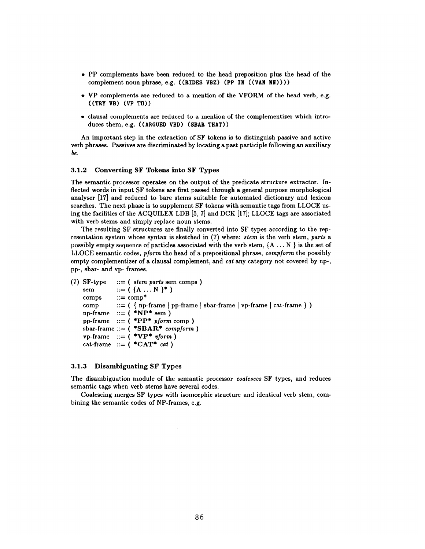- PP complements have been reduced to the head preposition plus the head of the complement noun phrase, e.g.  $((RIDES VBZ) (PP IN ((VAN NIN))))$
- \* VP complements are reduced to a mention of the VFORM of the head verb, e.g. ((TRY VB) (VP TO))
- clausal complements are reduced to a mention of the complementizer which introduces them, e.g. ((ARGUED VBD) (SBAR THAT))

An important step in the extraction of SF tokens is to distinguish passive and active verb phrases. Passives are discriminated by locating a past participle following an auxiliary *be.* 

#### **3.1.2 Converting SF Tokens into SF Types**

The semantic processor operates on the output of the predicate structure extractor. Inflected words in input SF tokens are first passed through a general purpose morphological analyser [17] and reduced to bare stems suitable for automated dictionary and lexicon searches. The next phase is to supplement SF tokens with semantic tags from LLOCE using the facilities of the ACQUILEX LDB [5, 7] and DCK [17]; LLOCE tags are associated with verb stems and simply replace noun stems.

The resulting SF structures are finally converted into SF types according to the representation system whose syntax is sketched in (7) where: *stem* is the verb stem, *parts a*  possibly empty sequence of particles associated with the verb stem,  $\{A \dots N\}$  is the set of LLOCE semantic codes, *pforrn* thehead of a prepositional phrase, *compform* the possibly empty complementizer of a clausal complement, and *cat* any category not covered by np-, pp-, sbar- and vp- frames.

```
(7) SF-type
    sem  ::= (\{A \dots N\}^*)comps
    comp
    np\text{-frame} ::= ( *NP* sem )
    pp-frame ::= 
( *PP* pform comp ) 
    sbar-frame ::= ( *SBAR* compform )
    vp-frame ::= 
( *VP* vform ) 
    cat-frame ::= ( *<b>CAT</b>* cat )
               ( stem parts sem comps ) 
                ::= comp* ::= ( \{ np-frame \mid pp-frame \mid solar-frame \mid vp-frame \mid cat-frame \} )
```
#### 3.1.3 Disambiguating SF Types

The disambiguation module of the semantic processor *coalesces* SF types, and reduces semantic tags when verb stems have several codes.

Coalescing merges SF types with isomorphic structure and identical verb stem, combining the semantic codes of NP-frames, e.g.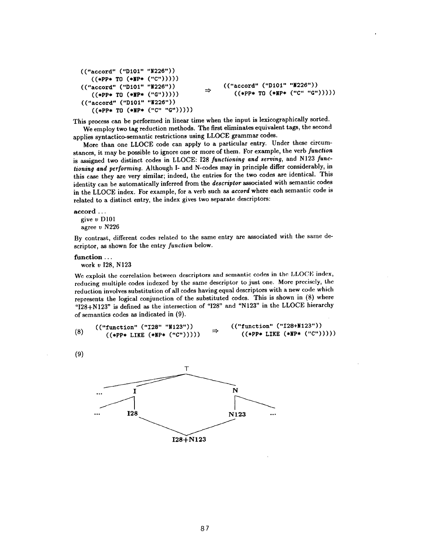```
(("accord" ("D101" "N226"))((*)PP* T0 (*HP* ('C'')))))((\text{``accord''} (\text{``D101''} \text{ ``N226''})) \rightarrow ((\text{``accord''} (\text{``D101''} \text{ ``N226''})) \rightarrow ((\text{``ePP* T0 (*NPI@} (\text{``C''} \text{``G''}))))((*PP* T0 (*NP* ('``G'')))))(("accord" ("D101" "N226"))
     ((*PP* T0 (*NP* ('"C" "G")))))
```
This process can be performed in linear time when the input is lexicographically sorted. We employ two tag reduction methods. The first eliminates equivalent tags, the second applies syntactico-semantic restrictions using LLOCE grammar codes.

More than one LLOCE code can apply to a particular entry. Under these circumstances, it may be possible to ignore one or more of them. For example, the verb *function*  is assigned two distinct codes in LLOCE: 128 *functioning and serving,* and N123 *functioning and performing.* Although I- and N:codes may in principle differ considerably, in this case they are very similar; indeed, the entries for the two codes are identical. This identity can be automatically inferred from the *descriptor* associated with semantic codes in the LLOCE index. For example, for a verb such as *accord* where each semantic code is related to a distinct entry, the index gives two separate descriptors:

#### **accord...**

give v D101 agree v N226

By contrast, different codes related to the same entry are associated with the same descriptor, as shown for the entry *function* below.

#### function ...

work v I28, N123

We exploit the correlation between descriptors and semantic codes in the LLOCE index, reducing multiple codes indexed by the same descriptor to just one. More precisely, the reduction involves substitution of all codes having equal descriptors with a new code which represents the logical conjunction of the substituted codes. This is shown in (8) where "I28+N123" is defined as the intersection of "128" and "N123" in the LLOCE hierarchy of semantics codes as indicated in (9).

|     | (("function" ("I28" "N123"))  | ("function" ("I28+N123"))      |
|-----|-------------------------------|--------------------------------|
| (8) | $((*PP*~LINE~(*NP*~("C")))))$ | $((*PP* LINE (*NP* (''C")))))$ |

(9)

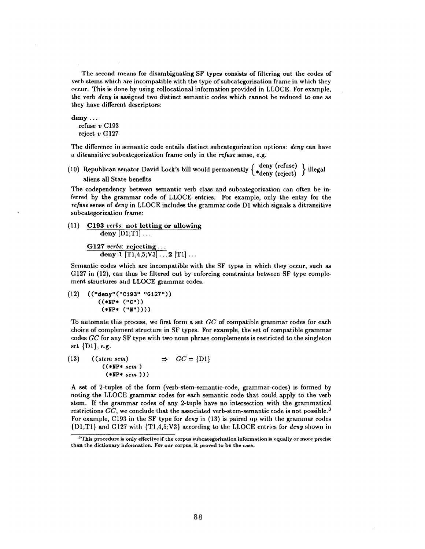The second means for disambiguating SF types consists of filtering out the codes of verb stems which are incompatible with the type of subcategorization frame in which they occur. This is done by using collocational information provided in LLOCE. For example, the verb *deny* is assigned two distinct semantic codes which cannot be reduced to one as they have different descriptors:

```
deny ... 
  refuse v C193 
  reject v G127
```
The difference in semantic code entails distinct subcategorization options: *deny* can have a ditransitive subcategorization frame only in the *refuse* sense, e.g.

(10) Republican senator David Lock's bill would permanently  $\begin{Bmatrix} \text{deny (refuse)} \\ \ast_{\text{deny (reject)}} \end{Bmatrix}$  illegal aliens all State benefits

The codependency between semantic verb class and subcategorization can often be inferred by the grammar code of LLOCE entries. For example, only the entry for the *refuse* sense of *deny* in LLOCE includes the grammar code D1 which signals a ditransitive subcategorization frame:

(ll) C193 *verbs:* not letting or allowing  $\frac{1}{\text{deny}}$  [D1;T1]...

G127 *verbs:* rejecting... deny 1  $\left[\text{T1,4,5;V3}\right] \dots$  2  $\left[\text{T1}\right] \dots$ 

Semantic codes which are incompatible with the SF types in which they occur, such as G127 in (12), can thus be filtered out by enforcing constraints between SF type complement structures and LLOCE grammar codes.

 $(12)$   $(("deny" ("C193" "G127")')$ **((\*NP\* ("C"))**   $(*NP* (''N''))))$ 

To automate this process, we first form a set *GC* of compatible grammar codes for each choice of complement structure in SF types. For example, the set of compatible grammar codes *GC* for any SF type with two noun phrase complements is restricted to the singleton set {D1}, e.g.

(13) ((stem sem) 
$$
\Rightarrow GC = \{D1\}
$$
  
((\*NP\* sem)  
(\*NP\* sem)))

A set of 2-tuples of the form (verb-stem-semantic-code, grammar-codes) is formed by noting the LLOCE grammar codes for each semantic code that could apply to the verb stem. If the grammar codes of any 2-tuple have no intersection with the grammatical restrictions *GC*, we conclude that the associated verb-stem-semantic code is not possible.<sup>3</sup> For example, C193 in the SF type for *deny* in (13) is paired up with the grammar codes {D1;T1} and G127 with (T1,4,5;V3} according to the LLOCE entries for *deny* shown in

<sup>&</sup>lt;sup>3</sup>This procedure is only effective if the corpus subcategorization information is equally or more precise than the dictionary information. For our corpus, it proved to be the case.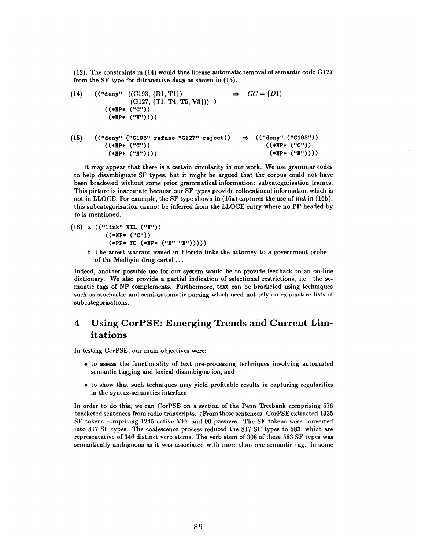$(12)$ . The constraints in  $(14)$  would thus license automatic removal of semantic code  $G127$ from the SF type for ditransitive *deny as* shown in (15).

(14) 
$$
((\text{``deny'' } ((C193, {D1, T1})) \Rightarrow GC = {D1}
$$
  
\n $((G127, {T1, T4, T5, V3})))$   $\Rightarrow GC = {D1}$   
\n $((*NP* ("C"))($   
\n $(*NP* ("M")))))$ 

(15) (("deny" ("C193"-refuse "G127"-reject)) ~ (("deny" ("C193")) ((\*NP\* ("c")) ((.Np. ("c")) **(,NP, ('T')))) (\*NP\* ("r))))** 

It may appear that there is a certain circularity in our work. We use grammar codes to help disambiguate SF types, but it might be argued that the corpus could not have been bracketed without some prior grammatical information: subcategorisation frames. This picture is inaccurate because our SF types provide collocational information which is not in LLOCE. For example, the SF type shown in (16a) captures the use of *link* in (16b); this subcategorization cannot be inferred from the LLOCE entry where no PP headed by *to* is mentioned.

- (16) a (("link" NIL ("N")) **((\*NP, ("c"))**   $(*PP* T0 (*NP* ('B'' 'W''))))$ 
	- b The arrest warrant issued in Florida links the attorney to a government probe of the Medhyin drug cartel ...

Indeed, another possible use for our system would be to provide feedback to an on-line dictionary. We also provide a partial indication of selectional restrictions, i.e. the semantic tags of NP complements. Furthermore, text can be bracketed using techniques such as stochastic and semi-automatic parsing which need not rely on exhaustive lists of subcategorisations.

## **4 Using CorPSE: Emerging Trends and Current Limitations**

In testing CorPSE, our main objectives were:

- to assess the functionality of text pre-processing techniques involving automated semantic tagging and lexical disambiguation, and
- to show that such techniques may yield profitable results in capturing regularities in the syntax-semantics interface

In order to do this, we ran CorPSE on a section of the Penn Treebank comprising 576 bracketed sentences from radio transcripts. /,From these sentences, CorPSE extracted 1335 SF tokens comprising 1245 active VPs and 90 passives. The SF tokens were converted into 817 SF types. The coalescence process reduced the 817 SF types to 583, which are representative of 346 distinct verb stems. The verb stern of 308 of these 583 SF types was semantically ambiguous as it was associated with more than one semantic tag. In some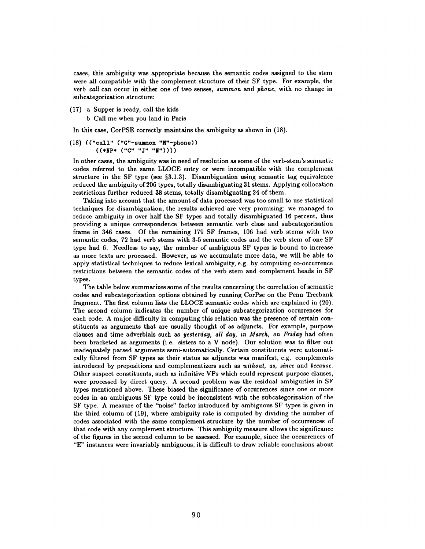cases, this ambiguity was appropriate because the semantic codes assigned to the stem were all compatible with the complement structure of their SF type. For example, the verb *call* can occur in either one of two senses, *summon* and *phone,* with no change in subcategorization structure:

- (17) a Supper is ready, call the kids
	- b Call me when you land in Paris

In this case, CorPSE correctly maintains the ambiguity as shown in (18).

 $(18)$  (("call" ("G"-summon "M"-phone)) (((\*NP\* ("C" "J" "N"))))

In other cases, the ambiguity was in need of resolution as some of the verb-stem's semantic codes referred to the same LLOCE entry or were incompatible with the complement structure in the SF type (see §3.1.3). Disambiguation using semantic tag equivalence reduced the ambiguity of 206 types, totally disambiguating 31 stems. Applying collocation restrictions further reduced 38 stems, totally disambiguating 24 of them.

Taking into account that the amount of data processed was too small to use statistical techniques for disambiguation, the results achieved are very promising: we managed to reduce ambiguity in over half the SF types and totally disambiguated 16 percent, thus providing a unique correspondence between semantic verb class and subcategorization frame in 346 cases. Of the remaining 179 SF frames, 106 had verb stems with two semantic codes, 72 had verb stems with 3-5 semantic codes and the verb stem of one SF type had 6. Needless to say, the number of ambiguous SF types is bound to increase as more texts are processed. However, as we accumulate more data, we will be able to apply statistical techniques to reduce lexical ambiguity, e.g. by computing co-occurrence restrictions between the semantic codes of the verb stem and complement heads in SF types.

The table below summarizes some of the results concerning the correlation of semantic codes and subcategorization options obtained by running CorPse on the Penn Treebank fragment. The first column lists the LLOCE semantic codes which are explained in (20). The second column indicates the number of unique subcategorization occurrences for each code. A major difficulty in computing this relation was the presence of certain constituents as arguments that are usually thought of as adjuncts. For example, purpose clauses and time adverbials such as *yesterday, all day, in March, on Friday* had often been bracketed as arguments (i.e. sisters to a V node). Our solution was to filter out inadequately parsed arguments semi-automatically. Certain constituents were automatically filtered from SF types as their status as adjuncts was manifest, e.g. complements introduced by prepositions and complementizers such as *without, as, since* and *because.*  Other suspect constituents, such as infinitive VPs which could represent purpose clauses, were processed by direct query. A second problem was the residual ambiguities in SF types mentioned above. These biased the significance of occurrences since one or more codes in an ambiguous SF type could be inconsistent with the subcategorization of the SF type. A measure of the "noise" factor introduced by ambiguous SF types is given in the third column of (19), where ambiguity rate is computed by dividing the number of codes associated with the same complement structure by the number of occurrences of that code with any complement structure. This ambiguity measure allows the significance of the figures in the second column to be assessed. For example, since the occurrences of "E" instances were invariably ambiguous, it is difficult to draw reliable conclusions about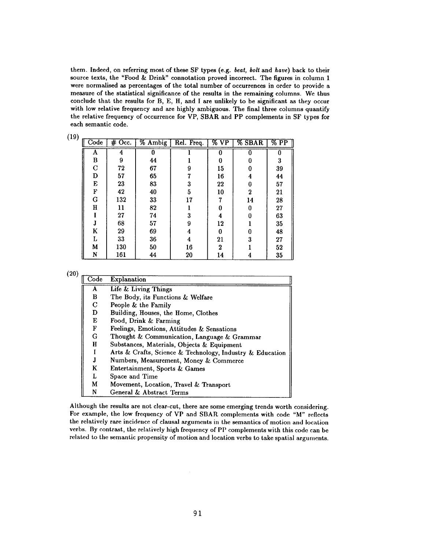them. Indeed, on referring most of these SF types (e.g. *beat, bolt* and *have)* back to their source texts, the "Food & Drink" connotation proved incorrect. The figures in column 1 were normalised as percentages of the total number of occurrences in order to provide a measure of the statistical significance of the results in the remaining columns. We thus conclude that the results for B, E, H, and I are unlikely to be significant as they occur with low relative frequency and are highly ambiguous. The final three columns quantify the relative frequency of occurrence for VP, SBAR and PP complements in SF types for each semantic code.

| $\overline{\text{Code}}$ | $#$ Occ. | % Ambig | Rel. Freq. | $\%$ VP          | <b>% SBAR</b> | $\overline{\%$ PP |
|--------------------------|----------|---------|------------|------------------|---------------|-------------------|
| A                        | 4        |         |            |                  |               | 0                 |
| B                        | 9        | 44      |            | 0                | 0             | 3                 |
| $\mathbf C$              | 72       | 67      | 9          | 15               | 0             | 39                |
| D                        | 57       | 65      |            | 16               | 4             | 44                |
| E                        | 23       | 83      | 3          | 22               | 0             | 57                |
| F                        | 42       | 40      | 5          | 10               | $\bf{2}$      | 21                |
| G                        | 132      | 33      | 17         | 7                | 14            | 28                |
| H                        | 11       | 82      |            | 0                | 0             | 27                |
|                          | 27       | 74      | 3          | 4                | 0             | 63                |
| J                        | 68       | 57      | 9          | 12               |               | 35                |
| K                        | 29       | 69      |            | 0                | 0             | 48                |
| L                        | 33       | 36      | 4          | 21               | 3             | 27                |
| M                        | 130      | 50      | 16         | $\boldsymbol{2}$ |               | 52                |
| N                        | 161      | 44      | 20         | 14               | 4             | 35                |

(20)

| $\text{Code}$ | Explanation                                               |
|---------------|-----------------------------------------------------------|
| A             | Life & Living Things                                      |
| В             | The Body, its Functions & Welfare                         |
| C             | People & the Family                                       |
| D             | Building, Houses, the Home, Clothes                       |
| E             | Food, Drink & Farming                                     |
| F             | Feelings, Emotions, Attitudes & Sensations                |
| G             | Thought & Communication, Language & Grammar               |
| H             | Substances, Materials, Objects & Equipment                |
|               | Arts & Crafts, Science & Technology, Industry & Education |
|               | Numbers, Measurement, Money & Commerce                    |
| K             | Entertainment, Sports & Games                             |
| L             | Space and Time                                            |
| М             | Movement, Location, Travel & Transport                    |
| N             | General & Abstract Terms                                  |

Although the results are not clear-cut, there are some emerging trends worth considering. For example, the low frequency of VP and SBAR complements with code *"M"* reflects the relatively rare incidence of clausal arguments in the semantics of motion and location verbs. By contrast, the relatively high frequency of PP complements with this code can be related to the semantic propensity of motion and location verbs to take spatial arguments.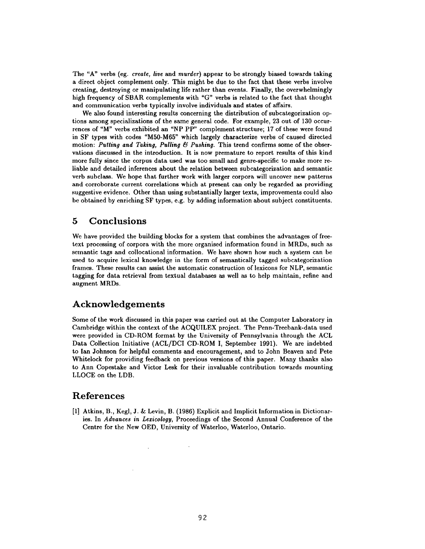The "A" verbs (eg. *create, live* and *murder)* appear to be strongly biased towards taking a direct object complement only. This might be due to the fact that these verbs involve creating, destroying or manipulating life rather than events. Finally, the overwhelmingly high frequency of SBAR complements with "G" verbs is related to the fact that thought and communication verbs typically involve individuals and states of affairs.

We also found interesting results concerning the distribution of subcategorization options among specializations of the same general code. For example, 23 out of 130 occurrences of "M" verbs exhibited an "NP PP" complement structure; 17 of these were found in SF types with codes "M50-M65" which largely characterize verbs of caused directed motion: *Putting and Taking, Pulling*  $&$  *Pushing.* This trend confirms some of the observations discussed in the introduction. It is now premature to report results of this kind more fully since the corpus data used was too small and genre-specific to make more reliable and detailed inferences about the relation between subcategorization and semantic verb subclass. We hope that further work with larger corpora will uncover new patterns and corroborate current correlations which at present can only be regarded as providing suggestive evidence. Other than using substantially larger texts, improvements could also be obtained by enriching SF types, e.g. by adding information about subject constituents.

### **5 Conclusions**

We have provided the building blocks for a system that combines the advantages of freetext processing of corpora with the more organised information found in MRDs, such as semantic tags and collocational information. We have shown how such a system can be used to acquire lexical knowledge in the form of semantically tagged subcategorization frames. These results can assist the automatic construction of lexicons for NLP, semantic tagging for data retrieval from textual databases as well as to help maintain, refine and augment MRDs.

## **Acknowledgements**

 $\sim$ 

Some of the work discussed in this paper was carried out at the Computer Laboratory in Cambridge within the context of the ACQUILEX project. The Penn-Treebank-data used were provided in CD-ROM format by the University of Pennsylvania through the ACL Data Collection Initiative (ACL/DCI CD-ROM I, September 1991). We are indebted to Inn Johnson for helpful comments and encouragement, and to John Beaven and Pete Whitelock for providing feedback on previous versions of this paper. Many thanks also to Ann Copestake and Victor Lesk for their invaluable contribution towards mounting LLOCE on the LDB.

### **References**

[1] Atkins, B., Kegl, J. & Levin, B. (1986) Explicit and Implicit Information in Dictionaries. In *Advances in Lexicology,* Proceedings of the Second Annual Conference of the Centre for the New OED, University of Waterloo, Waterloo, Ontario.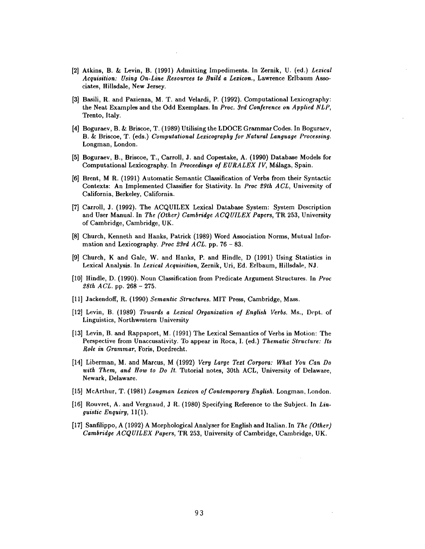- [2] Atkins, B. & Levin, B. (1991) Admitting Impediments. In Zernik, U. (ed.) *Lexical Acquisition: Using On-Line Resources to Build a Lexicon.,* Lawrence Erlbaum Associates, Hillsdale, New Jersey.
- [3] Basili, R. and Pazienza, M. T. and Velardi, P. (1992). Computational Lexicography: the Neat Examples and the Odd Exemplars. In *Proc. 3rd Conference on Applied NLP,*  Trento, Italy.
- [4] Boguraev, B. & Briscoe, T. (1989) Utilising the LDOCE Grammar Codes. In Boguraev, B. & Briscoe, T. (eds.) *Computational Lexicography for Natural Language Processing.*  Longman, London.
- [5] Boguraev, B., Briscoe, T., Carroll, J. and Copestake, A. (1990) Database Models for Computational Lexicography. In *Proceedings of EURALEX IV*, Málaga, Spain.
- [6] Brent, M R. (1991) Automatic Semantic Classification of Verbs from their Syntactic Contexts: An Implemented Classifier for Stativity. In *Proc 29th ACL,* University of California, Berkeley, California.
- [7] Carroll, J. (1992). The ACQUILEX Lexical Database System: System Description and User Manual. In *The (Other) Cambridge ACQUILEX Papers*, TR 253, University of Cambridge, Cambridge, UK.
- [8] Church, Kenneth and Hanks, Patrick (1989) Word Association Norms, Mutual Information and Lexicography. *Proc 23rd ACL.* pp. 76 - 83.
- [9] Church, K and Gale, W. and Hanks, P. and Hindle, D (1991) Using Statistics in Lexical Analysis. In *Lexical Acquisition,* Zernik, Uri, Ed. Erlbaum, Hillsdale, NJ.
- [10] Hindle, D. (1990). Noun Classification from Predicate Argument Structures. In *Proc 28th ACL.* pp. 268 - 275.
- [11] Jackendoff, R. (1990) *Semantic Structures*. MIT Press, Cambridge, Mass.
- [12] Levin, B. (1989) *Towards a Lexical Organization of English Verbs.* Ms., Dept. of Linguistics, Northwestern University
- [13] Levin, B. and Rappaport, M. (1991) The Lexical Semantics of Verbs in Motion: The Perspective from Unaccusativity. To appear in Roca, I. (ed.) *Thematic Structure: Its Role in Grammar*, Foris, Dordrecht.
- [14] Liberman, M. and Marcus, M (1992) *Very Large Text Corpora: Whai Yon Can Do with Them, and How to Do It.* Tutorial notes, 30th ACL, University of Delaware, Newark, Delaware.
- [15] McArthur, T. (1981) *Longman Lexicon of Contemporary English.* Longman, London.
- [16] Rouvret, A. and Vergnaud, J R. (1980) Specifying Reference to the Subject. In *Linguistic Enquiry,* 11(1).
- [17] Sanfilippo, A (1992) A Morphological Analyser for English and Italian. In *The (Other) Cambridge ACQUILEX Papers,* TR 253, University of Cambridge, Cambridge, UK.